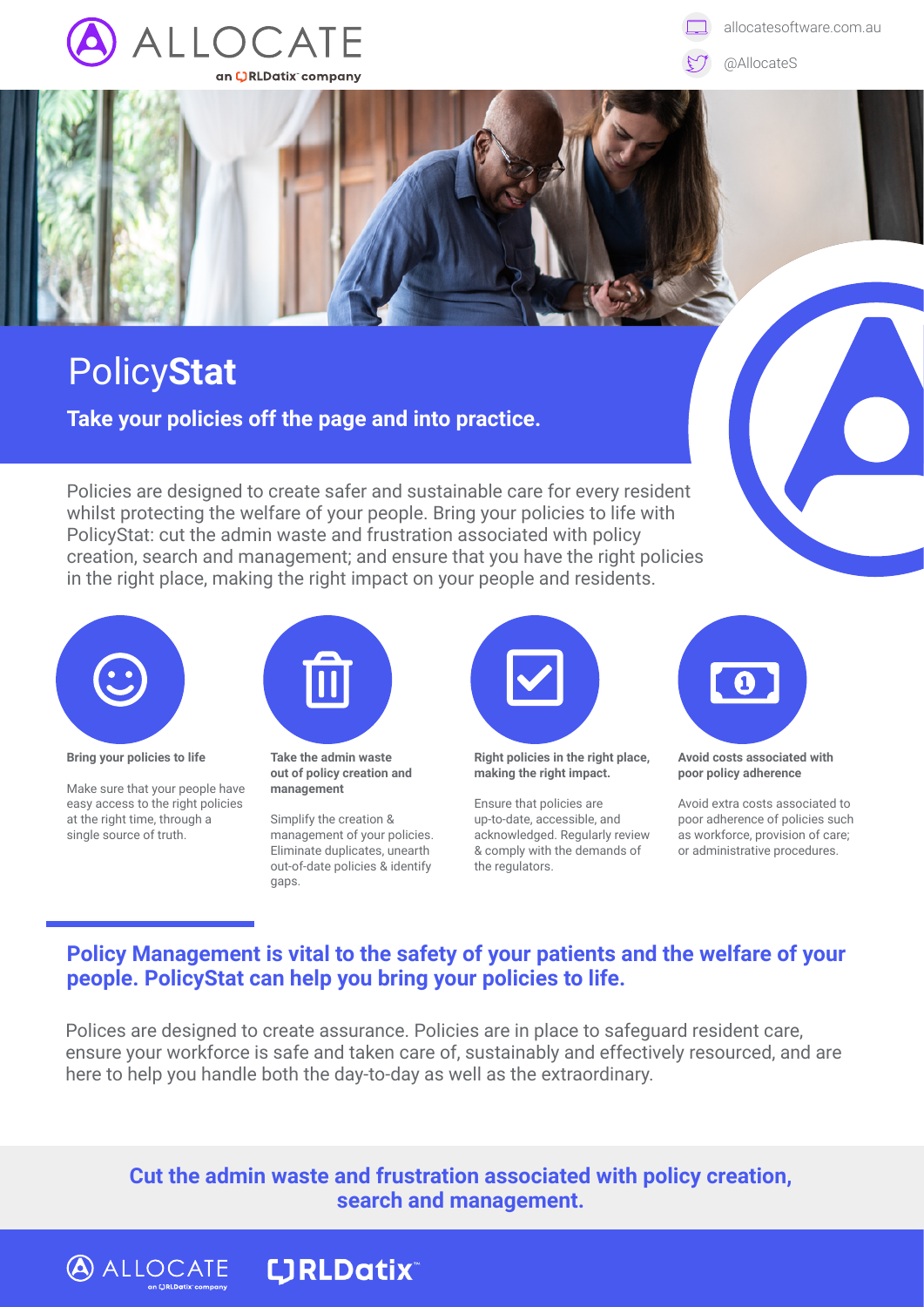

allocatesoftware.com.au

@AllocateS

## Policy**Stat**

**Take your policies off the page and into practice.**

Policies are designed to create safer and sustainable care for every resident whilst protecting the welfare of your people. Bring your policies to life with PolicyStat: cut the admin waste and frustration associated with policy creation, search and management; and ensure that you have the right policies in the right place, making the right impact on your people and residents.



**Bring your policies to life** 

Make sure that your people have easy access to the right policies at the right time, through a single source of truth.

**ALLOCATE LIRLDatix** 



**Take the admin waste out of policy creation and management**

Simplify the creation & management of your policies. Eliminate duplicates, unearth out-of-date policies & identify gaps.



**Right policies in the right place, making the right impact.**

Ensure that policies are up-to-date, accessible, and acknowledged. Regularly review & comply with the demands of the regulators.



**Avoid costs associated with poor policy adherence** 

Avoid extra costs associated to poor adherence of policies such as workforce, provision of care; or administrative procedures.

## **Policy Management is vital to the safety of your patients and the welfare of your people. PolicyStat can help you bring your policies to life.**

Polices are designed to create assurance. Policies are in place to safeguard resident care, ensure your workforce is safe and taken care of, sustainably and effectively resourced, and are here to help you handle both the day-to-day as well as the extraordinary.

**Cut the admin waste and frustration associated with policy creation, search and management.**